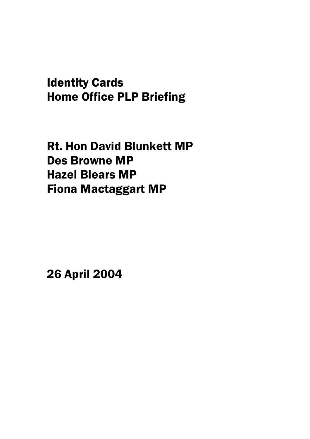# Identity Cards Home Office PLP Briefing

Rt. Hon David Blunkett MP Des Browne MP Hazel Blears MP Fiona Mactaggart MP

26 April 2004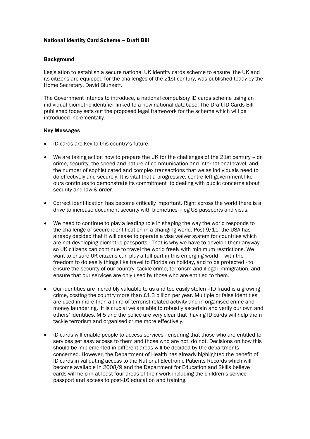## National Identity Card Scheme – Draft Bill

#### **Background**

Legislation to establish a secure national UK identity cards scheme to ensure the UK and its citizens are equipped for the challenges of the 21st century, was published today by the Home Secretary, David Blunkett.

The Government intends to introduce, a national compulsory ID cards scheme using an individual biometric identifier linked to a new national database. The Draft ID Cards Bill published today sets out the proposed legal framework for the scheme which will be introduced incrementally.

#### Key Messages

- ID cards are key to this country's future.
- We are taking action now to prepare the UK for the challenges of the 21st century on crime, security, the speed and nature of communication and international travel, and the number of sophisticated and complex transactions that we as individuals need to do effectively and securely. It is vital that a progressive, centre-left government like ours continues to demonstrate its commitment to dealing with public concerns about security and law & order.
- Correct identification has become critically important. Right across the world there is a drive to increase document security with biometrics – eg US passports and visas.
- We need to continue to play a leading role in shaping the way the world responds to the challenge of secure identification in a changing world. Post 9/11, the USA has already decided that it will cease to operate a visa waiver system for countries which are not developing biometric passports. That is why we have to develop them anyway so UK citizens can continue to travel the world freely with minimum restrictions. We want to ensure UK citizens can play a full part in this emerging world – with the freedom to do easily things like travel to Florida on holiday, and to be protected - to ensure the security of our country, tackle crime, terrorism and illegal immigration, and ensure that our services are only used by those who are entitled to them.
- Our identities are incredibly valuable to us and too easily stolen -ID fraud is a growing crime, costing the country more than £1.3 billion per year. Multiple or false identities are used in more than a third of terrorist related activity and in organised crime and money laundering. It is crucial we are able to robustly ascertain and verify our own and others' identities. MI5 and the police are very clear that having ID cards will help them tackle terrorism and organised crime more effectively.
- ID cards will enable people to access services ensuring that those who are entitled to services get easy access to them and those who are not, do not. Decisions on how this should be implemented in different areas will be decided by the departments concerned. However, the Department of Health has already highlighted the benefit of ID cards in validating access to the National Electronic Patients Records which will become available in 2008/9 and the Department for Education and Skills believe cards will help in at least four areas of their work including the children's service passport and access to post-16 education and training.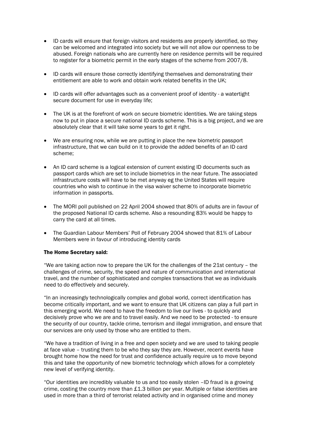- ID cards will ensure that foreign visitors and residents are properly identified, so they can be welcomed and integrated into society but we will not allow our openness to be abused. Foreign nationals who are currently here on residence permits will be required to register for a biometric permit in the early stages of the scheme from 2007/8.
- ID cards will ensure those correctly identifying themselves and demonstrating their entitlement are able to work and obtain work related benefits in the UK;
- ID cards will offer advantages such as a convenient proof of identity a watertight secure document for use in everyday life;
- The UK is at the forefront of work on secure biometric identities. We are taking steps now to put in place a secure national ID cards scheme. This is a big project, and we are absolutely clear that it will take some years to get it right.
- We are ensuring now, while we are putting in place the new biometric passport infrastructure, that we can build on it to provide the added benefits of an ID card scheme;
- An ID card scheme is a logical extension of current existing ID documents such as passport cards which are set to include biometrics in the near future. The associated infrastructure costs will have to be met anyway eg the United States will require countries who wish to continue in the visa waiver scheme to incorporate biometric information in passports.
- The MORI poll published on 22 April 2004 showed that 80% of adults are in favour of the proposed National ID cards scheme. Also a resounding 83% would be happy to carry the card at all times.
- The Guardian Labour Members' Poll of February 2004 showed that 81% of Labour Members were in favour of introducing identity cards

## The Home Secretary said:

"We are taking action now to prepare the UK for the challenges of the 21st century – the challenges of crime, security, the speed and nature of communication and international travel, and the number of sophisticated and complex transactions that we as individuals need to do effectively and securely.

"In an increasingly technologically complex and global world, correct identification has become critically important, and we want to ensure that UK citizens can play a full part in this emerging world. We need to have the freedom to live our lives - to quickly and decisively prove who we are and to travel easily. And we need to be protected - to ensure the security of our country, tackle crime, terrorism and illegal immigration, and ensure that our services are only used by those who are entitled to them.

"We have a tradition of living in a free and open society and we are used to taking people at face value – trusting them to be who they say they are. However, recent events have brought home how the need for trust and confidence actually require us to move beyond this and take the opportunity of new biometric technology which allows for a completely new level of verifying identity.

"Our identities are incredibly valuable to us and too easily stolen –ID fraud is a growing crime, costing the country more than £1.3 billion per year. Multiple or false identities are used in more than a third of terrorist related activity and in organised crime and money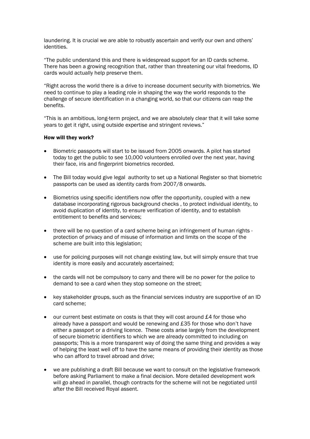laundering. It is crucial we are able to robustly ascertain and verify our own and others' identities.

"The public understand this and there is widespread support for an ID cards scheme. There has been a growing recognition that, rather than threatening our vital freedoms, ID cards would actually help preserve them.

"Right across the world there is a drive to increase document security with biometrics. We need to continue to play a leading role in shaping the way the world responds to the challenge of secure identification in a changing world, so that our citizens can reap the benefits.

"This is an ambitious, long-term project, and we are absolutely clear that it will take some years to get it right, using outside expertise and stringent reviews."

#### How will they work?

- Biometric passports will start to be issued from 2005 onwards. A pilot has started today to get the public to see 10,000 volunteers enrolled over the next year, having their face, iris and fingerprint biometrics recorded.
- The Bill today would give legal authority to set up a National Register so that biometric passports can be used as identity cards from 2007/8 onwards.
- Biometrics using specific identifiers now offer the opportunity, coupled with a new database incorporating rigorous background checks , to protect individual identity, to avoid duplication of identity, to ensure verification of identity, and to establish entitlement to benefits and services;
- there will be no question of a card scheme being an infringement of human rights protection of privacy and of misuse of information and limits on the scope of the scheme are built into this legislation;
- use for policing purposes will not change existing law, but will simply ensure that true identity is more easily and accurately ascertained;
- the cards will not be compulsory to carry and there will be no power for the police to demand to see a card when they stop someone on the street;
- key stakeholder groups, such as the financial services industry are supportive of an ID card scheme;
- our current best estimate on costs is that they will cost around £4 for those who already have a passport and would be renewing and £35 for those who don't have either a passport or a driving licence. These costs arise largely from the development of secure biometric identifiers to which we are already committed to including on passports; This is a more transparent way of doing the same thing and provides a way of helping the least well off to have the same means of providing their identity as those who can afford to travel abroad and drive;
- we are publishing a draft Bill because we want to consult on the legislative framework before asking Parliament to make a final decision. More detailed development work will go ahead in parallel, though contracts for the scheme will not be negotiated until after the Bill received Royal assent.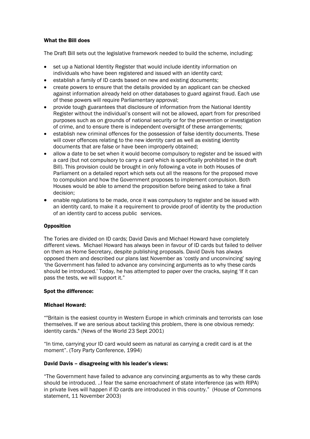## What the Bill does

The Draft Bill sets out the legislative framework needed to build the scheme, including:

- set up a National Identity Register that would include identity information on individuals who have been registered and issued with an identity card;
- establish a family of ID cards based on new and existing documents;
- create powers to ensure that the details provided by an applicant can be checked against information already held on other databases to guard against fraud. Each use of these powers will require Parliamentary approval;
- provide tough guarantees that disclosure of information from the National Identity Register without the individual's consent will not be allowed, apart from for prescribed purposes such as on grounds of national security or for the prevention or investigation of crime, and to ensure there is independent oversight of these arrangements;
- establish new criminal offences for the possession of false identity documents. These will cover offences relating to the new identity card as well as existing identity documents that are false or have been improperly obtained;
- allow a date to be set when it would become compulsory to register and be issued with a card (but not compulsory to carry a card which is specifically prohibited in the draft Bill). This provision could be brought in only following a vote in both Houses of Parliament on a detailed report which sets out all the reasons for the proposed move to compulsion and how the Government proposes to implement compulsion. Both Houses would be able to amend the proposition before being asked to take a final decision;
- enable regulations to be made, once it was compulsory to register and be issued with an identity card, to make it a requirement to provide proof of identity by the production of an identity card to access public services.

## **Opposition**

The Tories are divided on ID cards; David Davis and Michael Howard have completely different views. Michael Howard has always been in favour of ID cards but failed to deliver on them as Home Secretary, despite publishing proposals. David Davis has always opposed them and described our plans last November as 'costly and unconvincing' saying 'the Government has failed to advance any convincing arguments as to why these cards should be introduced.' Today, he has attempted to paper over the cracks, saying 'If it can pass the tests, we will support it."

## Spot the difference:

## Michael Howard:

""Britain is the easiest country in Western Europe in which criminals and terrorists can lose themselves. If we are serious about tackling this problem, there is one obvious remedy: identity cards." (News of the World 23 Sept 2001)

"In time, carrying your ID card would seem as natural as carrying a credit card is at the moment". (Tory Party Conference, 1994)

## David Davis – disagreeing with his leader's views:

"The Government have failed to advance any convincing arguments as to why these cards should be introduced. ..I fear the same encroachment of state interference (as with RIPA) in private lives will happen if ID cards are introduced in this country." (House of Commons statement, 11 November 2003)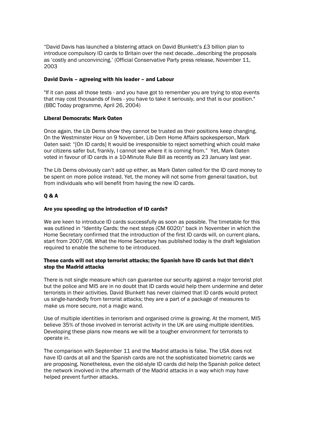"David Davis has launched a blistering attack on David Blunkett's £3 billion plan to introduce compulsory ID cards to Britain over the next decade…describing the proposals as 'costly and unconvincing.' (Official Conservative Party press release, November 11, 2003

## David Davis – agreeing with his leader – and Labour

"If it can pass all those tests - and you have got to remember you are trying to stop events that may cost thousands of lives - you have to take it seriously, and that is our position." (BBC Today programme, April 26, 2004)

#### Liberal Democrats: Mark Oaten

Once again, the Lib Dems show they cannot be trusted as their positions keep changing. On the Westminster Hour on 9 November, Lib Dem Home Affairs spokesperson, Mark Oaten said: "[On ID cards] It would be irresponsible to reject something which could make our citizens safer but, frankly, I cannot see where it is coming from." Yet, Mark Oaten voted in favour of ID cards in a 10-Minute Rule Bill as recently as 23 January last year.

The Lib Dems obviously can't add up either, as Mark Oaten called for the ID card money to be spent on more police instead. Yet, the money will not some from general taxation, but from individuals who will benefit from having the new ID cards.

## Q & A

#### Are you speeding up the introduction of ID cards?

We are keen to introduce ID cards successfully as soon as possible. The timetable for this was outlined in "Identity Cards: the next steps (CM 6020)" back in November in which the Home Secretary confirmed that the introduction of the first ID cards will, on current plans, start from 2007/08. What the Home Secretary has published today is the draft legislation required to enable the scheme to be introduced.

## These cards will not stop terrorist attacks; the Spanish have ID cards but that didn't stop the Madrid attacks

There is not single measure which can guarantee our security against a major terrorist plot but the police and MI5 are in no doubt that ID cards would help them undermine and deter terrorists in their activities. David Blunkett has never claimed that ID cards would protect us single-handedly from terrorist attacks; they are a part of a package of measures to make us more secure, not a magic wand.

Use of multiple identities in terrorism and organised crime is growing. At the moment, MI5 believe 35% of those involved in terrorist activity in the UK are using multiple identities. Developing these plans now means we will be a tougher environment for terrorists to operate in.

The comparison with September 11 and the Madrid attacks is false. The USA does not have ID cards at all and the Spanish cards are not the sophisticated biometric cards we are proposing. Nonetheless, even the old-style ID cards did help the Spanish police detect the network involved in the aftermath of the Madrid attacks in a way which may have helped prevent further attacks.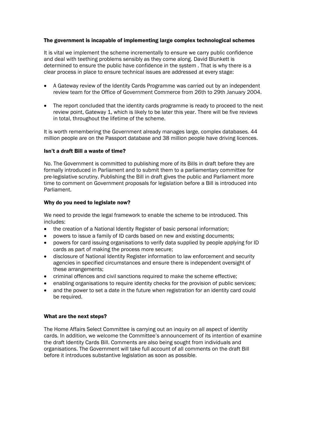## The government is incapable of implementing large complex technological schemes

It is vital we implement the scheme incrementally to ensure we carry public confidence and deal with teething problems sensibly as they come along. David Blunkett is determined to ensure the public have confidence in the system . That is why there is a clear process in place to ensure technical issues are addressed at every stage:

- A Gateway review of the Identity Cards Programme was carried out by an independent review team for the Office of Government Commerce from 26th to 29th January 2004.
- The report concluded that the identity cards programme is ready to proceed to the next review point, Gateway 1, which is likely to be later this year. There will be five reviews in total, throughout the lifetime of the scheme.

It is worth remembering the Government already manages large, complex databases. 44 million people are on the Passport database and 38 million people have driving licences.

## Isn't a draft Bill a waste of time?

No. The Government is committed to publishing more of its Bills in draft before they are formally introduced in Parliament and to submit them to a parliamentary committee for pre-legislative scrutiny. Publishing the Bill in draft gives the public and Parliament more time to comment on Government proposals for legislation before a Bill is introduced into Parliament.

## Why do you need to legislate now?

We need to provide the legal framework to enable the scheme to be introduced. This includes:

- the creation of a National Identity Register of basic personal information;
- powers to issue a family of ID cards based on new and existing documents;
- powers for card issuing organisations to verify data supplied by people applying for ID cards as part of making the process more secure;
- disclosure of National Identity Register information to law enforcement and security agencies in specified circumstances and ensure there is independent oversight of these arrangements;
- criminal offences and civil sanctions required to make the scheme effective;
- enabling organisations to require identity checks for the provision of public services;
- and the power to set a date in the future when registration for an identity card could be required.

## What are the next steps?

The Home Affairs Select Committee is carrying out an inquiry on all aspect of identity cards. In addition, we welcome the Committee's announcement of its intention of examine the draft Identity Cards Bill. Comments are also being sought from individuals and organisations. The Government will take full account of all comments on the draft Bill before it introduces substantive legislation as soon as possible.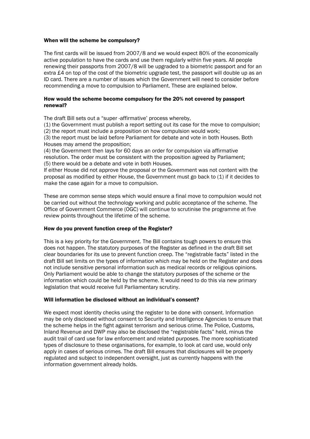## When will the scheme be compulsory?

The first cards will be issued from 2007/8 and we would expect 80% of the economically active population to have the cards and use them regularly within five years. All people renewing their passports from 2007/8 will be upgraded to a biometric passport and for an extra £4 on top of the cost of the biometric upgrade test, the passport will double up as an ID card. There are a number of issues which the Government will need to consider before recommending a move to compulsion to Parliament. These are explained below.

#### How would the scheme become compulsory for the 20% not covered by passport renewal?

The draft Bill sets out a "super -affirmative' process whereby,

(1) the Government must publish a report setting out its case for the move to compulsion; (2) the report must include a proposition on how compulsion would work;

(3) the report must be laid before Parliament for debate and vote in both Houses. Both Houses may amend the proposition;

(4) the Government then lays for 60 days an order for compulsion via affirmative resolution. The order must be consistent with the proposition agreed by Parliament; (5) there would be a debate and vote in both Houses.

If either House did not approve the proposal or the Government was not content with the proposal as modified by either House, the Government must go back to (1) if it decides to make the case again for a move to compulsion.

These are common sense steps which would ensure a final move to compulsion would not be carried out without the technology working and public acceptance of the scheme. The Office of Government Commerce (OGC) will continue to scrutinise the programme at five review points throughout the lifetime of the scheme.

## How do you prevent function creep of the Register?

This is a key priority for the Government. The Bill contains tough powers to ensure this does not happen. The statutory purposes of the Register as defined in the draft Bill set clear boundaries for its use to prevent function creep. The "registrable facts" listed in the draft Bill set limits on the types of information which may be held on the Register and does not include sensitive personal information such as medical records or religious opinions. Only Parliament would be able to change the statutory purposes of the scheme or the information which could be held by the scheme. It would need to do this via new primary legislation that would receive full Parliamentary scrutiny.

## Will information be disclosed without an individual's consent?

We expect most identity checks using the register to be done with consent. Information may be only disclosed without consent to Security and Intelligence Agencies to ensure that the scheme helps in the fight against terrorism and serious crime. The Police, Customs, Inland Revenue and DWP may also be disclosed the "registrable facts" held, minus the audit trail of card use for law enforcement and related purposes. The more sophisticated types of disclosure to these organisations, for example, to look at card use, would only apply in cases of serious crimes. The draft Bill ensures that disclosures will be properly regulated and subject to independent oversight, just as currently happens with the information government already holds.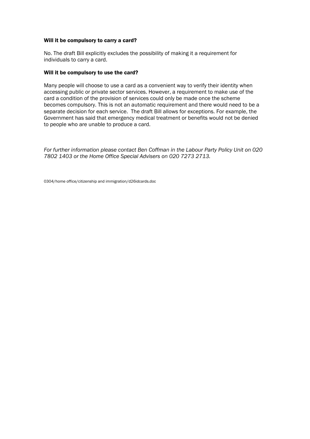#### Will it be compulsory to carry a card?

No. The draft Bill explicitly excludes the possibility of making it a requirement for individuals to carry a card.

#### Will it be compulsory to use the card?

Many people will choose to use a card as a convenient way to verify their identity when accessing public or private sector services. However, a requirement to make use of the card a condition of the provision of services could only be made once the scheme becomes compulsory. This is not an automatic requirement and there would need to be a separate decision for each service. The draft Bill allows for exceptions. For example, the Government has said that emergency medical treatment or benefits would not be denied to people who are unable to produce a card.

*For further information please contact Ben Coffman in the Labour Party Policy Unit on 020 7802 1403 or the Home Office Special Advisers on 020 7273 2713.* 

0304/home office/citizenship and immigration/d26idcards.doc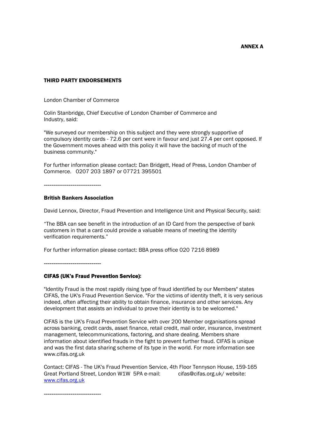ANNEX A

## THIRD PARTY ENDORSEMENTS

London Chamber of Commerce

Colin Stanbridge, Chief Executive of London Chamber of Commerce and Industry, said:

"We surveyed our membership on this subject and they were strongly supportive of compulsory identity cards - 72.6 per cent were in favour and just 27.4 per cent opposed. If the Government moves ahead with this policy it will have the backing of much of the business community."

For further information please contact: Dan Bridgett, Head of Press, London Chamber of Commerce. 0207 203 1897 or 07721 395501

------------------------------

#### British Bankers Association

David Lennox, Director, Fraud Prevention and Intelligence Unit and Physical Security, said:

"The BBA can see benefit in the introduction of an ID Card from the perspective of bank customers in that a card could provide a valuable means of meeting the identity verification requirements."

For further information please contact: BBA press office 020 7216 8989

------------------------------

#### CIFAS (UK's Fraud Prevention Service):

"Identity Fraud is the most rapidly rising type of fraud identified by our Members" states CIFAS, the UK's Fraud Prevention Service. "For the victims of identity theft, it is very serious indeed, often affecting their ability to obtain finance, insurance and other services. Any development that assists an individual to prove their identity is to be welcomed."

CIFAS is the UK's Fraud Prevention Service with over 200 Member organisations spread across banking, credit cards, asset finance, retail credit, mail order, insurance, investment management, telecommunications, factoring, and share dealing. Members share information about identified frauds in the fight to prevent further fraud. CIFAS is unique and was the first data sharing scheme of its type in the world. For more information see www.cifas.org.uk

Contact: CIFAS - The UK's Fraud Prevention Service, 4th Floor Tennyson House, 159-165 Great Portland Street, London W1W 5PA e-mail: cifas@cifas.org.uk/ website: www.cifas.org.uk

------------------------------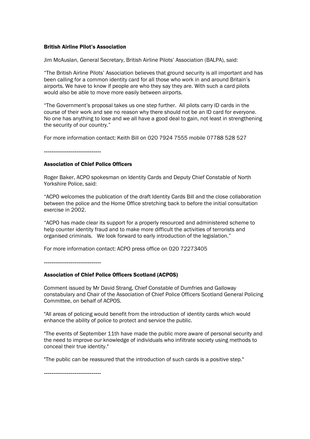#### British Airline Pilot's Association

Jim McAuslan, General Secretary, British Airline Pilots' Association (BALPA), said:

"The British Airline Pilots' Association believes that ground security is all important and has been calling for a common identity card for all those who work in and around Britain's airports. We have to know if people are who they say they are. With such a card pilots would also be able to move more easily between airports.

"The Government's proposal takes us one step further. All pilots carry ID cards in the course of their work and see no reason why there should not be an ID card for everyone. No one has anything to lose and we all have a good deal to gain, not least in strengthening the security of our country."

For more information contact: Keith Bill on 020 7924 7555 mobile 07788 528 527

------------------------------

#### Association of Chief Police Officers

Roger Baker, ACPO spokesman on Identity Cards and Deputy Chief Constable of North Yorkshire Police, said:

"ACPO welcomes the publication of the draft Identity Cards Bill and the close collaboration between the police and the Home Office stretching back to before the initial consultation exercise in 2002.

"ACPO has made clear its support for a properly resourced and administered scheme to help counter identity fraud and to make more difficult the activities of terrorists and organised criminals. We look forward to early introduction of the legislation."

For more information contact: ACPO press office on 020 72273405

------------------------------

## Association of Chief Police Officers Scotland (ACPOS)

Comment issued by Mr David Strang, Chief Constable of Dumfries and Galloway constabulary and Chair of the Association of Chief Police Officers Scotland General Policing Committee, on behalf of ACPOS.

"All areas of policing would benefit from the introduction of identity cards which would enhance the ability of police to protect and service the public.

"The events of September 11th have made the public more aware of personal security and the need to improve our knowledge of individuals who infiltrate society using methods to conceal their true identity."

"The public can be reassured that the introduction of such cards is a positive step."

------------------------------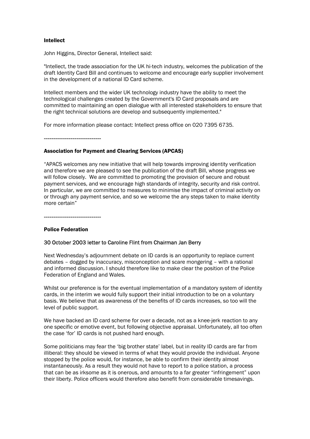## Intellect

John Higgins, Director General, Intellect said:

"Intellect, the trade association for the UK hi-tech industry, welcomes the publication of the draft Identity Card Bill and continues to welcome and encourage early supplier involvement in the development of a national ID Card scheme.

Intellect members and the wider UK technology industry have the ability to meet the technological challenges created by the Government's ID Card proposals and are committed to maintaining an open dialogue with all interested stakeholders to ensure that the right technical solutions are develop and subsequently implemented."

For more information please contact: Intellect press office on 020 7395 6735.

------------------------------

#### Association for Payment and Clearing Services (APCAS)

"APACS welcomes any new initiative that will help towards improving identity verification and therefore we are pleased to see the publication of the draft Bill, whose progress we will follow closely. We are committed to promoting the provision of secure and robust payment services, and we encourage high standards of integrity, security and risk control. In particular, we are committed to measures to minimise the impact of criminal activity on or through any payment service, and so we welcome the any steps taken to make identity more certain"

------------------------------

## Police Federation

## 30 October 2003 letter to Caroline Flint from Chairman Jan Berry

Next Wednesday's adjournment debate on ID cards is an opportunity to replace current debates – dogged by inaccuracy, misconception and scare mongering – with a rational and informed discussion. I should therefore like to make clear the position of the Police Federation of England and Wales.

Whilst our preference is for the eventual implementation of a mandatory system of identity cards, in the interim we would fully support their initial introduction to be on a voluntary basis. We believe that as awareness of the benefits of ID cards increases, so too will the level of public support.

We have backed an ID card scheme for over a decade, not as a knee-jerk reaction to any one specific or emotive event, but following objective appraisal. Unfortunately, all too often the case 'for' ID cards is not pushed hard enough.

Some politicians may fear the 'big brother state' label, but in reality ID cards are far from illiberal: they should be viewed in terms of what they would provide the individual. Anyone stopped by the police would, for instance, be able to confirm their identity almost instantaneously. As a result they would not have to report to a police station, a process that can be as irksome as it is onerous, and amounts to a far greater "infringement" upon their liberty. Police officers would therefore also benefit from considerable timesavings.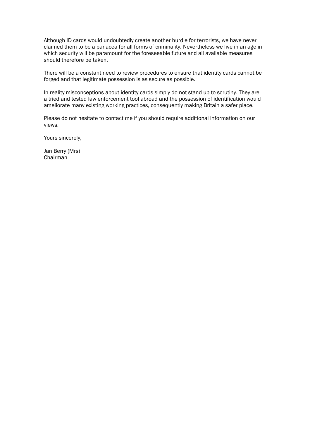Although ID cards would undoubtedly create another hurdle for terrorists, we have never claimed them to be a panacea for all forms of criminality. Nevertheless we live in an age in which security will be paramount for the foreseeable future and all available measures should therefore be taken.

There will be a constant need to review procedures to ensure that identity cards cannot be forged and that legitimate possession is as secure as possible.

In reality misconceptions about identity cards simply do not stand up to scrutiny. They are a tried and tested law enforcement tool abroad and the possession of identification would ameliorate many existing working practices, consequently making Britain a safer place.

Please do not hesitate to contact me if you should require additional information on our views.

Yours sincerely,

Jan Berry (Mrs) Chairman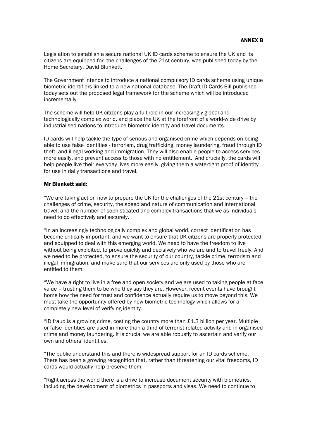Legislation to establish a secure national UK ID cards scheme to ensure the UK and its citizens are equipped for the challenges of the 21st century, was published today by the Home Secretary, David Blunkett.

The Government intends to introduce a national compulsory ID cards scheme using unique biometric identifiers linked to a new national database. The Draft ID Cards Bill published today sets out the proposed legal framework for the scheme which will be introduced incrementally.

The scheme will help UK citizens play a full role in our increasingly global and technologically complex world, and place the UK at the forefront of a world-wide drive by industrialised nations to introduce biometric identity and travel documents.

ID cards will help tackle the type of serious and organised crime which depends on being able to use false identities - terrorism, drug trafficking, money laundering, fraud through ID theft, and illegal working and immigration. They will also enable people to access services more easily, and prevent access to those with no entitlement. And crucially, the cards will help people live their everyday lives more easily, giving them a watertight proof of identity for use in daily transactions and travel.

#### Mr Blunkett said:

"We are taking action now to prepare the UK for the challenges of the 21st century – the challenges of crime, security, the speed and nature of communication and international travel, and the number of sophisticated and complex transactions that we as individuals need to do effectively and securely.

"In an increasingly technologically complex and global world, correct identification has become critically important, and we want to ensure that UK citizens are properly protected and equipped to deal with this emerging world. We need to have the freedom to live without being exploited, to prove quickly and decisively who we are and to travel freely. And we need to be protected, to ensure the security of our country, tackle crime, terrorism and illegal immigration, and make sure that our services are only used by those who are entitled to them.

"We have a right to live in a free and open society and we are used to taking people at face value – trusting them to be who they say they are. However, recent events have brought home how the need for trust and confidence actually require us to move beyond this. We must take the opportunity offered by new biometric technology which allows for a completely new level of verifying identity.

"ID fraud is a growing crime, costing the country more than £1.3 billion per year. Multiple or false identities are used in more than a third of terrorist related activity and in organised crime and money laundering. It is crucial we are able robustly to ascertain and verify our own and others' identities.

"The public understand this and there is widespread support for an ID cards scheme. There has been a growing recognition that, rather than threatening our vital freedoms, ID cards would actually help preserve them.

"Right across the world there is a drive to increase document security with biometrics, including the development of biometrics in passports and visas. We need to continue to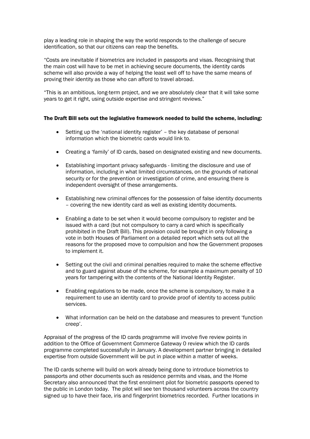play a leading role in shaping the way the world responds to the challenge of secure identification, so that our citizens can reap the benefits.

"Costs are inevitable if biometrics are included in passports and visas. Recognising that the main cost will have to be met in achieving secure documents, the identity cards scheme will also provide a way of helping the least well off to have the same means of proving their identity as those who can afford to travel abroad.

"This is an ambitious, long-term project, and we are absolutely clear that it will take some years to get it right, using outside expertise and stringent reviews."

## The Draft Bill sets out the legislative framework needed to build the scheme, including:

- Setting up the 'national identity register' the key database of personal information which the biometric cards would link to.
- Creating a 'family' of ID cards, based on designated existing and new documents.
- Establishing important privacy safeguards limiting the disclosure and use of information, including in what limited circumstances, on the grounds of national security or for the prevention or investigation of crime, and ensuring there is independent oversight of these arrangements.
- Establishing new criminal offences for the possession of false identity documents – covering the new identity card as well as existing identity documents.
- Enabling a date to be set when it would become compulsory to register and be issued with a card (but not compulsory to carry a card which is specifically prohibited in the Draft Bill). This provision could be brought in only following a vote in both Houses of Parliament on a detailed report which sets out all the reasons for the proposed move to compulsion and how the Government proposes to implement it.
- Setting out the civil and criminal penalties required to make the scheme effective and to guard against abuse of the scheme, for example a maximum penalty of 10 years for tampering with the contents of the National Identity Register.
- Enabling regulations to be made, once the scheme is compulsory, to make it a requirement to use an identity card to provide proof of identity to access public services.
- What information can be held on the database and measures to prevent 'function creep'.

Appraisal of the progress of the ID cards programme will involve five review points in addition to the Office of Government Commerce Gateway 0 review which the ID cards programme completed successfully in January. A development partner bringing in detailed expertise from outside Government will be put in place within a matter of weeks.

The ID cards scheme will build on work already being done to introduce biometrics to passports and other documents such as residence permits and visas, and the Home Secretary also announced that the first enrolment pilot for biometric passports opened to the public in London today. The pilot will see ten thousand volunteers across the country signed up to have their face, iris and fingerprint biometrics recorded. Further locations in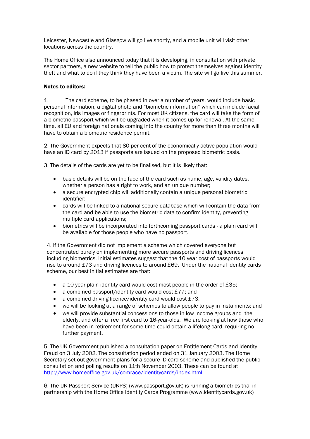Leicester, Newcastle and Glasgow will go live shortly, and a mobile unit will visit other locations across the country.

The Home Office also announced today that it is developing, in consultation with private sector partners, a new website to tell the public how to protect themselves against identity theft and what to do if they think they have been a victim. The site will go live this summer.

# Notes to editors:

1. The card scheme, to be phased in over a number of years, would include basic personal information, a digital photo and "biometric information" which can include facial recognition, iris images or fingerprints. For most UK citizens, the card will take the form of a biometric passport which will be upgraded when it comes up for renewal. At the same time, all EU and foreign nationals coming into the country for more than three months will have to obtain a biometric residence permit.

2. The Government expects that 80 per cent of the economically active population would have an ID card by 2013 if passports are issued on the proposed biometric basis.

3. The details of the cards are yet to be finalised, but it is likely that:

- basic details will be on the face of the card such as name, age, validity dates, whether a person has a right to work, and an unique number;
- a secure encrypted chip will additionally contain a unique personal biometric identifier;
- cards will be linked to a national secure database which will contain the data from the card and be able to use the biometric data to confirm identity, preventing multiple card applications;
- biometrics will be incorporated into forthcoming passport cards a plain card will be available for those people who have no passport.

4. If the Government did not implement a scheme which covered everyone but concentrated purely on implementing more secure passports and driving licences including biometrics, initial estimates suggest that the 10 year cost of passports would rise to around £73 and driving licences to around £69. Under the national identity cards scheme, our best initial estimates are that:

- a 10 year plain identity card would cost most people in the order of £35;
- a combined passport/identity card would cost £77; and
- a combined driving licence/identity card would cost £73.
- we will be looking at a range of schemes to allow people to pay in instalments; and
- we will provide substantial concessions to those in low income groups and the elderly, and offer a free first card to 16-year-olds. We are looking at how those who have been in retirement for some time could obtain a lifelong card, requiring no further payment.

5. The UK Government published a consultation paper on Entitlement Cards and Identity Fraud on 3 July 2002. The consultation period ended on 31 January 2003. The Home Secretary set out government plans for a secure ID card scheme and published the public consultation and polling results on 11th November 2003. These can be found at http://www.homeoffice.gov.uk/comrace/identitycards/index.html

6. The UK Passport Service (UKPS) (www.passport.gov.uk) is running a biometrics trial in partnership with the Home Office Identity Cards Programme (www.identitycards.gov.uk)